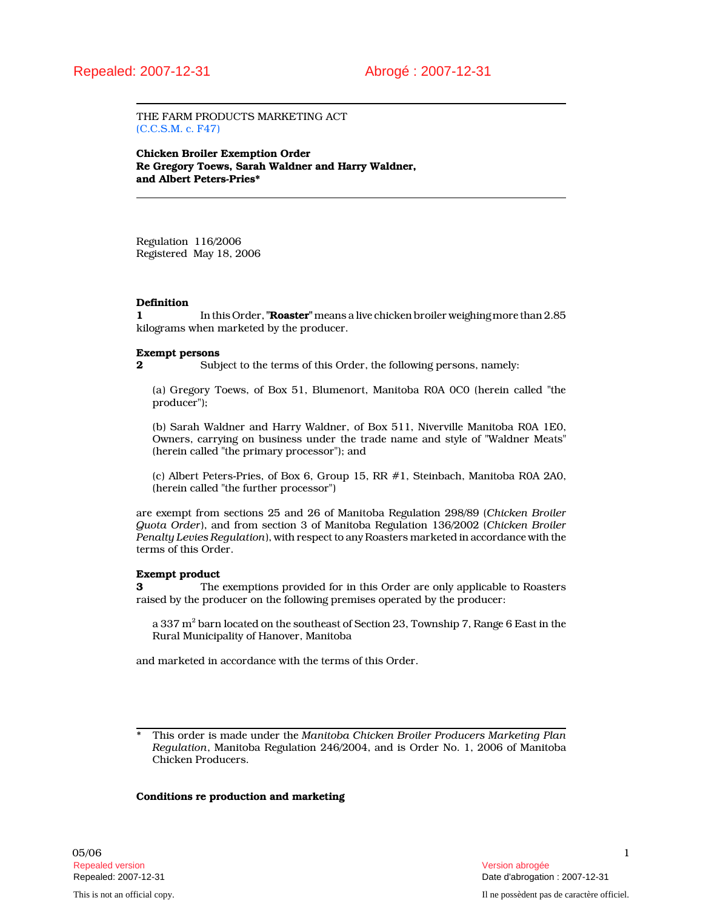THE FARM PRODUCTS MARKETING ACT (C.C.S.M. c. F47)

Chicken Broiler Exemption Order Re Gregory Toews, Sarah Waldner and Harry Waldner, and Albert Peters-Pries\*

Regulation 116/2006 Registered May 18, 2006

#### **Definition**

1 In this Order, "**Roaster**" means a live chicken broiler weighing more than 2.85 kilograms when marketed by the producer.

#### Exempt persons

2 Subject to the terms of this Order, the following persons, namely:

(a) Gregory Toews, of Box 51, Blumenort, Manitoba R0A 0C0 (herein called "the producer");

(b) Sarah Waldner and Harry Waldner, of Box 511, Niverville Manitoba R0A 1E0, Owners, carrying on business under the trade name and style of "Waldner Meats" (herein called "the primary processor"); and

(c) Albert Peters-Pries, of Box 6, Group 15, RR #1, Steinbach, Manitoba R0A 2A0, (herein called "the further processor")

are exempt from sections 25 and 26 of Manitoba Regulation 298/89 (Chicken Broiler Quota Order), and from section 3 of Manitoba Regulation 136/2002 (Chicken Broiler Penalty Levies Regulation), with respect to any Roasters marketed in accordance with the terms of this Order.

#### Exempt product

3 The exemptions provided for in this Order are only applicable to Roasters raised by the producer on the following premises operated by the producer:

a 337 m $^2$  barn located on the southeast of Section 23, Township 7, Range 6 East in the Rural Municipality of Hanover, Manitoba

and marketed in accordance with the terms of this Order.

#### Conditions re production and marketing

This order is made under the Manitoba Chicken Broiler Producers Marketing Plan Regulation, Manitoba Regulation 246/2004, and is Order No. 1, 2006 of Manitoba Chicken Producers.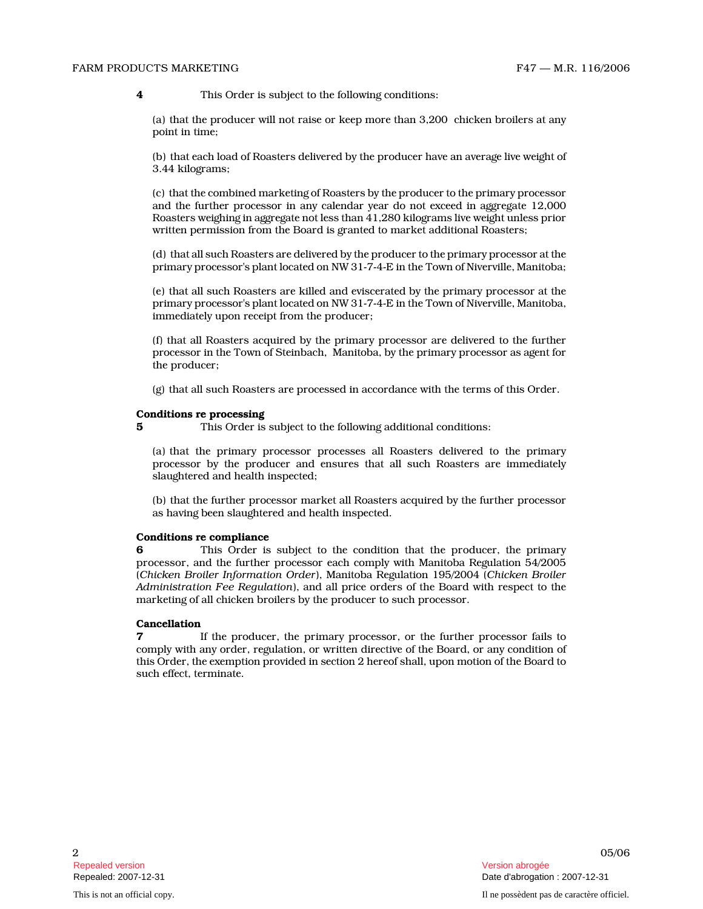#### FARM PRODUCTS MARKETING FARM FAT THE STATE STATE STATE STATE STATE STATE STATE STATE STATE STATE STATE STATE STATE STATE STATE STATE STATE STATE STATE STATE STATE STATE STATE STATE STATE STATE STATE STATE STATE STATE STATE

(a) that the producer will not raise or keep more than 3,200 chicken broilers at any point in time;

(b) that each load of Roasters delivered by the producer have an average live weight of 3.44 kilograms;

(c) that the combined marketing of Roasters by the producer to the primary processor and the further processor in any calendar year do not exceed in aggregate 12,000 Roasters weighing in aggregate not less than 41,280 kilograms live weight unless prior written permission from the Board is granted to market additional Roasters;

(d) that all such Roasters are delivered by the producer to the primary processor at the primary processor's plant located on NW 31-7-4-E in the Town of Niverville, Manitoba;

(e) that all such Roasters are killed and eviscerated by the primary processor at the primary processor's plant located on NW 31-7-4-E in the Town of Niverville, Manitoba, immediately upon receipt from the producer;

(f) that all Roasters acquired by the primary processor are delivered to the further processor in the Town of Steinbach, Manitoba, by the primary processor as agent for the producer;

(g) that all such Roasters are processed in accordance with the terms of this Order.

#### Conditions re processing

5 This Order is subject to the following additional conditions:

(a) that the primary processor processes all Roasters delivered to the primary processor by the producer and ensures that all such Roasters are immediately slaughtered and health inspected;

(b) that the further processor market all Roasters acquired by the further processor as having been slaughtered and health inspected.

#### Conditions re compliance

4<br>
2 10 This Orient is subject to the biforeties conditions.<br>
26/06 4 This Product will not also to the following conditions:<br>
26/06 the following conditions:<br>
26/06 4 This orient is more as the following conditions:<br>
26/ 6 This Order is subject to the condition that the producer, the primary processor, and the further processor each comply with Manitoba Regulation 54/2005 (Chicken Broiler Information Order), Manitoba Regulation 195/2004 (Chicken Broiler Administration Fee Regulation), and all price orders of the Board with respect to the marketing of all chicken broilers by the producer to such processor.

### Cancellation

7 If the producer, the primary processor, or the further processor fails to comply with any order, regulation, or written directive of the Board, or any condition of this Order, the exemption provided in section 2 hereof shall, upon motion of the Board to such effect, terminate.